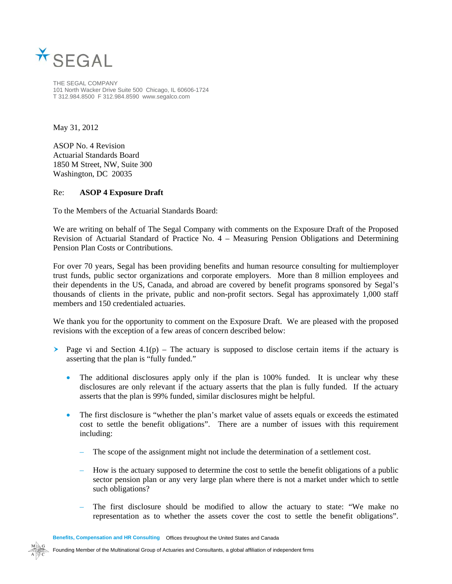

THE SEGAL COMPANY 101 North Wacker Drive Suite 500 Chicago, IL 60606-1724 T 312.984.8500 F 312.984.8590 www.segalco.com

May 31, 2012

ASOP No. 4 Revision Actuarial Standards Board 1850 M Street, NW, Suite 300 Washington, DC 20035

## Re: **ASOP 4 Exposure Draft**

To the Members of the Actuarial Standards Board:

We are writing on behalf of The Segal Company with comments on the Exposure Draft of the Proposed Revision of Actuarial Standard of Practice No. 4 – Measuring Pension Obligations and Determining Pension Plan Costs or Contributions.

For over 70 years, Segal has been providing benefits and human resource consulting for multiemployer trust funds, public sector organizations and corporate employers. More than 8 million employees and their dependents in the US, Canada, and abroad are covered by benefit programs sponsored by Segal's thousands of clients in the private, public and non-profit sectors. Segal has approximately 1,000 staff members and 150 credentialed actuaries.

We thank you for the opportunity to comment on the Exposure Draft. We are pleased with the proposed revisions with the exception of a few areas of concern described below:

- Page vi and Section 4.1(p) The actuary is supposed to disclose certain items if the actuary is asserting that the plan is "fully funded."
	- The additional disclosures apply only if the plan is 100% funded. It is unclear why these disclosures are only relevant if the actuary asserts that the plan is fully funded. If the actuary asserts that the plan is 99% funded, similar disclosures might be helpful.
	- The first disclosure is "whether the plan's market value of assets equals or exceeds the estimated cost to settle the benefit obligations". There are a number of issues with this requirement including:
		- The scope of the assignment might not include the determination of a settlement cost.
		- How is the actuary supposed to determine the cost to settle the benefit obligations of a public sector pension plan or any very large plan where there is not a market under which to settle such obligations?
		- The first disclosure should be modified to allow the actuary to state: "We make no representation as to whether the assets cover the cost to settle the benefit obligations".

**Benefits, Compensation and HR Consulting** Offices throughout the United States and Canada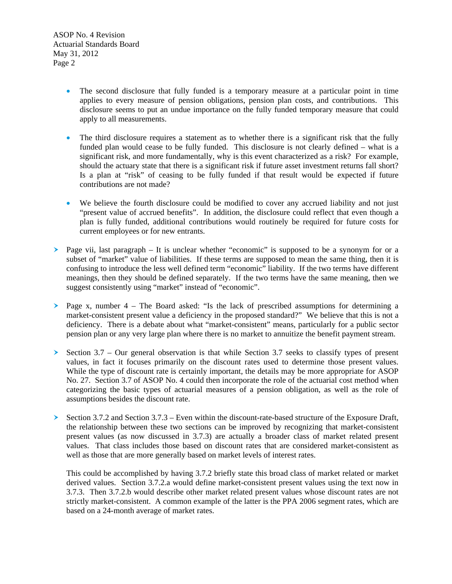ASOP No. 4 Revision Actuarial Standards Board May 31, 2012 Page 2

- The second disclosure that fully funded is a temporary measure at a particular point in time applies to every measure of pension obligations, pension plan costs, and contributions. This disclosure seems to put an undue importance on the fully funded temporary measure that could apply to all measurements.
- The third disclosure requires a statement as to whether there is a significant risk that the fully funded plan would cease to be fully funded. This disclosure is not clearly defined – what is a significant risk, and more fundamentally, why is this event characterized as a risk? For example, should the actuary state that there is a significant risk if future asset investment returns fall short? Is a plan at "risk" of ceasing to be fully funded if that result would be expected if future contributions are not made?
- We believe the fourth disclosure could be modified to cover any accrued liability and not just "present value of accrued benefits". In addition, the disclosure could reflect that even though a plan is fully funded, additional contributions would routinely be required for future costs for current employees or for new entrants.
- $\triangleright$  Page vii, last paragraph It is unclear whether "economic" is supposed to be a synonym for or a subset of "market" value of liabilities. If these terms are supposed to mean the same thing, then it is confusing to introduce the less well defined term "economic" liability. If the two terms have different meanings, then they should be defined separately. If the two terms have the same meaning, then we suggest consistently using "market" instead of "economic".
- $\geq$  Page x, number 4 The Board asked: "Is the lack of prescribed assumptions for determining a market-consistent present value a deficiency in the proposed standard?" We believe that this is not a deficiency. There is a debate about what "market-consistent" means, particularly for a public sector pension plan or any very large plan where there is no market to annuitize the benefit payment stream.
- Section  $3.7 -$  Our general observation is that while Section 3.7 seeks to classify types of present values, in fact it focuses primarily on the discount rates used to determine those present values. While the type of discount rate is certainly important, the details may be more appropriate for ASOP No. 27. Section 3.7 of ASOP No. 4 could then incorporate the role of the actuarial cost method when categorizing the basic types of actuarial measures of a pension obligation, as well as the role of assumptions besides the discount rate.
- Section 3.7.2 and Section  $3.7.3$  Even within the discount-rate-based structure of the Exposure Draft, the relationship between these two sections can be improved by recognizing that market-consistent present values (as now discussed in 3.7.3) are actually a broader class of market related present values. That class includes those based on discount rates that are considered market-consistent as well as those that are more generally based on market levels of interest rates.

This could be accomplished by having 3.7.2 briefly state this broad class of market related or market derived values. Section 3.7.2.a would define market-consistent present values using the text now in 3.7.3. Then 3.7.2.b would describe other market related present values whose discount rates are not strictly market-consistent. A common example of the latter is the PPA 2006 segment rates, which are based on a 24-month average of market rates.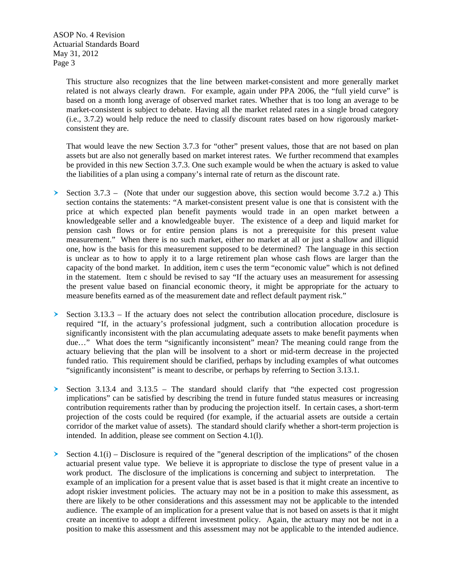ASOP No. 4 Revision Actuarial Standards Board May 31, 2012 Page 3

> This structure also recognizes that the line between market-consistent and more generally market related is not always clearly drawn. For example, again under PPA 2006, the "full yield curve" is based on a month long average of observed market rates. Whether that is too long an average to be market-consistent is subject to debate. Having all the market related rates in a single broad category (i.e., 3.7.2) would help reduce the need to classify discount rates based on how rigorously marketconsistent they are.

> That would leave the new Section 3.7.3 for "other" present values, those that are not based on plan assets but are also not generally based on market interest rates. We further recommend that examples be provided in this new Section 3.7.3. One such example would be when the actuary is asked to value the liabilities of a plan using a company's internal rate of return as the discount rate.

- Section 3.7.3 (Note that under our suggestion above, this section would become 3.7.2 a.) This section contains the statements: "A market-consistent present value is one that is consistent with the price at which expected plan benefit payments would trade in an open market between a knowledgeable seller and a knowledgeable buyer. The existence of a deep and liquid market for pension cash flows or for entire pension plans is not a prerequisite for this present value measurement." When there is no such market, either no market at all or just a shallow and illiquid one, how is the basis for this measurement supposed to be determined? The language in this section is unclear as to how to apply it to a large retirement plan whose cash flows are larger than the capacity of the bond market. In addition, item c uses the term "economic value" which is not defined in the statement. Item c should be revised to say "If the actuary uses an measurement for assessing the present value based on financial economic theory, it might be appropriate for the actuary to measure benefits earned as of the measurement date and reflect default payment risk."
- Section  $3.13.3$  If the actuary does not select the contribution allocation procedure, disclosure is required "If, in the actuary's professional judgment, such a contribution allocation procedure is significantly inconsistent with the plan accumulating adequate assets to make benefit payments when due..." What does the term "significantly inconsistent" mean? The meaning could range from the actuary believing that the plan will be insolvent to a short or mid-term decrease in the projected funded ratio. This requirement should be clarified, perhaps by including examples of what outcomes "significantly inconsistent" is meant to describe, or perhaps by referring to Section 3.13.1.
- Section 3.13.4 and  $3.13.5$  The standard should clarify that "the expected cost progression" implications" can be satisfied by describing the trend in future funded status measures or increasing contribution requirements rather than by producing the projection itself. In certain cases, a short-term projection of the costs could be required (for example, if the actuarial assets are outside a certain corridor of the market value of assets). The standard should clarify whether a short-term projection is intended. In addition, please see comment on Section 4.1(l).
- Section 4.1(i) Disclosure is required of the "general description of the implications" of the chosen actuarial present value type. We believe it is appropriate to disclose the type of present value in a work product. The disclosure of the implications is concerning and subject to interpretation. example of an implication for a present value that is asset based is that it might create an incentive to adopt riskier investment policies. The actuary may not be in a position to make this assessment, as there are likely to be other considerations and this assessment may not be applicable to the intended audience. The example of an implication for a present value that is not based on assets is that it might create an incentive to adopt a different investment policy. Again, the actuary may not be not in a position to make this assessment and this assessment may not be applicable to the intended audience.